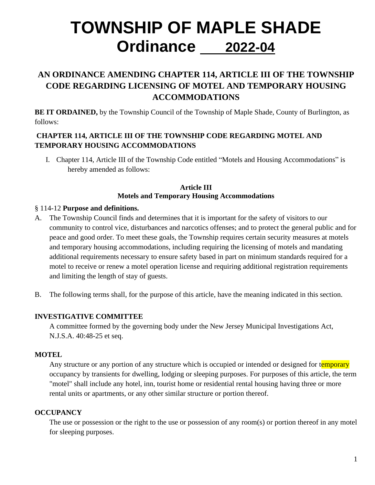# **TOWNSHIP OF MAPLE SHADE Ordinance 2022-04**

# **AN ORDINANCE AMENDING CHAPTER 114, ARTICLE III OF THE TOWNSHIP CODE REGARDING LICENSING OF MOTEL AND TEMPORARY HOUSING ACCOMMODATIONS**

**BE IT ORDAINED,** by the Township Council of the Township of Maple Shade, County of Burlington, as follows:

# **CHAPTER 114, ARTICLE III OF THE TOWNSHIP CODE REGARDING MOTEL AND TEMPORARY HOUSING ACCOMMODATIONS**

I. Chapter 114, Article III of the Township Code entitled "Motels and Housing Accommodations" is hereby amended as follows:

#### **Article III Motels and Temporary Housing Accommodations**

#### § 114-12 **Purpose and definitions.**

- A. The Township Council finds and determines that it is important for the safety of visitors to our community to control vice, disturbances and narcotics offenses; and to protect the general public and for peace and good order. To meet these goals, the Township requires certain security measures at motels and temporary housing accommodations, including requiring the licensing of motels and mandating additional requirements necessary to ensure safety based in part on minimum standards required for a motel to receive or renew a motel operation license and requiring additional registration requirements and limiting the length of stay of guests.
- B. The following terms shall, for the purpose of this article, have the meaning indicated in this section.

#### **INVESTIGATIVE COMMITTEE**

A committee formed by the governing body under the New Jersey Municipal Investigations Act, N.J.S.A. 40:48-25 et seq.

#### **MOTEL**

Any structure or any portion of any structure which is occupied or intended or designed for temporary occupancy by transients for dwelling, lodging or sleeping purposes. For purposes of this article, the term "motel" shall include any hotel, inn, tourist home or residential rental housing having three or more rental units or apartments, or any other similar structure or portion thereof.

# **OCCUPANCY**

The use or possession or the right to the use or possession of any room(s) or portion thereof in any motel for sleeping purposes.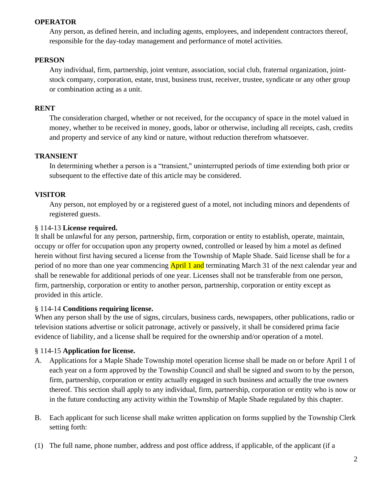#### **OPERATOR**

Any person, as defined herein, and including agents, employees, and independent contractors thereof, responsible for the day-today management and performance of motel activities.

#### **PERSON**

Any individual, firm, partnership, joint venture, association, social club, fraternal organization, jointstock company, corporation, estate, trust, business trust, receiver, trustee, syndicate or any other group or combination acting as a unit.

#### **RENT**

The consideration charged, whether or not received, for the occupancy of space in the motel valued in money, whether to be received in money, goods, labor or otherwise, including all receipts, cash, credits and property and service of any kind or nature, without reduction therefrom whatsoever.

#### **TRANSIENT**

In determining whether a person is a "transient," uninterrupted periods of time extending both prior or subsequent to the effective date of this article may be considered.

#### **VISITOR**

Any person, not employed by or a registered guest of a motel, not including minors and dependents of registered guests.

#### § 114-13 **License required.**

It shall be unlawful for any person, partnership, firm, corporation or entity to establish, operate, maintain, occupy or offer for occupation upon any property owned, controlled or leased by him a motel as defined herein without first having secured a license from the Township of Maple Shade. Said license shall be for a period of no more than one year commencing **April 1 and** terminating March 31 of the next calendar year and shall be renewable for additional periods of one year. Licenses shall not be transferable from one person, firm, partnership, corporation or entity to another person, partnership, corporation or entity except as provided in this article.

#### § 114-14 **Conditions requiring license.**

When any person shall by the use of signs, circulars, business cards, newspapers, other publications, radio or television stations advertise or solicit patronage, actively or passively, it shall be considered prima facie evidence of liability, and a license shall be required for the ownership and/or operation of a motel.

#### § 114-15 **Application for license.**

- A. Applications for a Maple Shade Township motel operation license shall be made on or before April 1 of each year on a form approved by the Township Council and shall be signed and sworn to by the person, firm, partnership, corporation or entity actually engaged in such business and actually the true owners thereof. This section shall apply to any individual, firm, partnership, corporation or entity who is now or in the future conducting any activity within the Township of Maple Shade regulated by this chapter.
- B. Each applicant for such license shall make written application on forms supplied by the Township Clerk setting forth:
- (1) The full name, phone number, address and post office address, if applicable, of the applicant (if a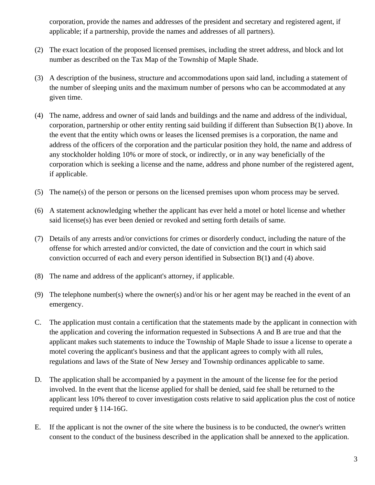corporation, provide the names and addresses of the president and secretary and registered agent, if applicable; if a partnership, provide the names and addresses of all partners).

- (2) The exact location of the proposed licensed premises, including the street address, and block and lot number as described on the Tax Map of the Township of Maple Shade.
- (3) A description of the business, structure and accommodations upon said land, including a statement of the number of sleeping units and the maximum number of persons who can be accommodated at any given time.
- (4) The name, address and owner of said lands and buildings and the name and address of the individual, corporation, partnership or other entity renting said building if different than Subsection B(1) above. In the event that the entity which owns or leases the licensed premises is a corporation, the name and address of the officers of the corporation and the particular position they hold, the name and address of any stockholder holding 10% or more of stock, or indirectly, or in any way beneficially of the corporation which is seeking a license and the name, address and phone number of the registered agent, if applicable.
- (5) The name(s) of the person or persons on the licensed premises upon whom process may be served.
- (6) A statement acknowledging whether the applicant has ever held a motel or hotel license and whether said license(s) has ever been denied or revoked and setting forth details of same.
- (7) Details of any arrests and/or convictions for crimes or disorderly conduct, including the nature of the offense for which arrested and/or convicted, the date of conviction and the court in which said conviction occurred of each and every person identified in Subsection B(1**)** and (4) above.
- (8) The name and address of the applicant's attorney, if applicable.
- (9) The telephone number(s) where the owner(s) and/or his or her agent may be reached in the event of an emergency.
- C. The application must contain a certification that the statements made by the applicant in connection with the application and covering the information requested in Subsections A and B are true and that the applicant makes such statements to induce the Township of Maple Shade to issue a license to operate a motel covering the applicant's business and that the applicant agrees to comply with all rules, regulations and laws of the State of New Jersey and Township ordinances applicable to same.
- D. The application shall be accompanied by a payment in the amount of the license fee for the period involved. In the event that the license applied for shall be denied, said fee shall be returned to the applicant less 10% thereof to cover investigation costs relative to said application plus the cost of notice required under § 114-16G.
- E. If the applicant is not the owner of the site where the business is to be conducted, the owner's written consent to the conduct of the business described in the application shall be annexed to the application.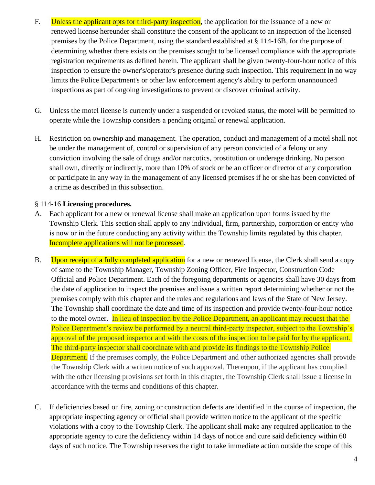- F. Unless the applicant opts for third-party inspection, the application for the issuance of a new or renewed license hereunder shall constitute the consent of the applicant to an inspection of the licensed premises by the Police Department, using the standard established at § 114-16B, for the purpose of determining whether there exists on the premises sought to be licensed compliance with the appropriate registration requirements as defined herein. The applicant shall be given twenty-four-hour notice of this inspection to ensure the owner's/operator's presence during such inspection. This requirement in no way limits the Police Department's or other law enforcement agency's ability to perform unannounced inspections as part of ongoing investigations to prevent or discover criminal activity.
- G. Unless the motel license is currently under a suspended or revoked status, the motel will be permitted to operate while the Township considers a pending original or renewal application.
- H. Restriction on ownership and management. The operation, conduct and management of a motel shall not be under the management of, control or supervision of any person convicted of a felony or any conviction involving the sale of drugs and/or narcotics, prostitution or underage drinking. No person shall own, directly or indirectly, more than 10% of stock or be an officer or director of any corporation or participate in any way in the management of any licensed premises if he or she has been convicted of a crime as described in this subsection.

#### § 114-16 **Licensing procedures.**

- A. Each applicant for a new or renewal license shall make an application upon forms issued by the Township Clerk. This section shall apply to any individual, firm, partnership, corporation or entity who is now or in the future conducting any activity within the Township limits regulated by this chapter. Incomplete applications will not be processed.
- B. Upon receipt of a fully completed application for a new or renewed license, the Clerk shall send a copy of same to the Township Manager, Township Zoning Officer, Fire Inspector, Construction Code Official and Police Department. Each of the foregoing departments or agencies shall have 30 days from the date of application to inspect the premises and issue a written report determining whether or not the premises comply with this chapter and the rules and regulations and laws of the State of New Jersey. The Township shall coordinate the date and time of its inspection and provide twenty-four-hour notice to the motel owner. In lieu of inspection by the Police Department, an applicant may request that the Police Department's review be performed by a neutral third-party inspector, subject to the Township's approval of the proposed inspector and with the costs of the inspection to be paid for by the applicant. The third-party inspector shall coordinate with and provide its findings to the Township Police Department. If the premises comply, the Police Department and other authorized agencies shall provide the Township Clerk with a written notice of such approval. Thereupon, if the applicant has complied with the other licensing provisions set forth in this chapter, the Township Clerk shall issue a license in accordance with the terms and conditions of this chapter.
- C. If deficiencies based on fire, zoning or construction defects are identified in the course of inspection, the appropriate inspecting agency or official shall provide written notice to the applicant of the specific violations with a copy to the Township Clerk. The applicant shall make any required application to the appropriate agency to cure the deficiency within 14 days of notice and cure said deficiency within 60 days of such notice. The Township reserves the right to take immediate action outside the scope of this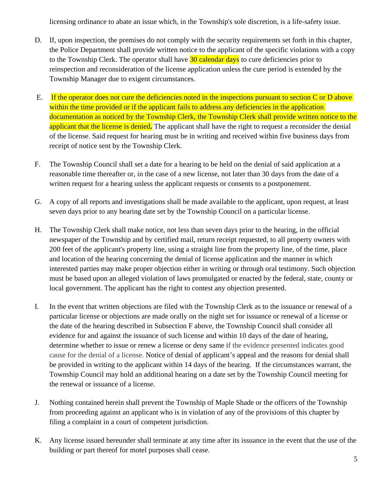licensing ordinance to abate an issue which, in the Township's sole discretion, is a life-safety issue.

- D. If, upon inspection, the premises do not comply with the security requirements set forth in this chapter, the Police Department shall provide written notice to the applicant of the specific violations with a copy to the Township Clerk. The operator shall have 30 calendar days to cure deficiencies prior to reinspection and reconsideration of the license application unless the cure period is extended by the Township Manager due to exigent circumstances.
- E. If the operator does not cure the deficiencies noted in the inspections pursuant to section C or D above within the time provided or if the applicant fails to address any deficiencies in the application documentation as noticed by the Township Clerk, the Township Clerk shall provide written notice to the applicant that the license is denied**.** The applicant shall have the right to request a reconsider the denial of the license. Said request for hearing must be in writing and received within five business days from receipt of notice sent by the Township Clerk.
- F. The Township Council shall set a date for a hearing to be held on the denial of said application at a reasonable time thereafter or, in the case of a new license, not later than 30 days from the date of a written request for a hearing unless the applicant requests or consents to a postponement.
- G. A copy of all reports and investigations shall be made available to the applicant, upon request, at least seven days prior to any hearing date set by the Township Council on a particular license.
- H. The Township Clerk shall make notice, not less than seven days prior to the hearing, in the official newspaper of the Township and by certified mail, return receipt requested, to all property owners with 200 feet of the applicant's property line, using a straight line from the property line, of the time, place and location of the hearing concerning the denial of license application and the manner in which interested parties may make proper objection either in writing or through oral testimony. Such objection must be based upon an alleged violation of laws promulgated or enacted by the federal, state, county or local government. The applicant has the right to contest any objection presented.
- I. In the event that written objections are filed with the Township Clerk as to the issuance or renewal of a particular license or objections are made orally on the night set for issuance or renewal of a license or the date of the hearing described in Subsection F above, the Township Council shall consider all evidence for and against the issuance of such license and within 10 days of the date of hearing, determine whether to issue or renew a license or deny same if the evidence presented indicates good cause for the denial of a license. Notice of denial of applicant's appeal and the reasons for denial shall be provided in writing to the applicant within 14 days of the hearing. If the circumstances warrant, the Township Council may hold an additional hearing on a date set by the Township Council meeting for the renewal or issuance of a license.
- J. Nothing contained herein shall prevent the Township of Maple Shade or the officers of the Township from proceeding against an applicant who is in violation of any of the provisions of this chapter by filing a complaint in a court of competent jurisdiction.
- K. Any license issued hereunder shall terminate at any time after its issuance in the event that the use of the building or part thereof for motel purposes shall cease.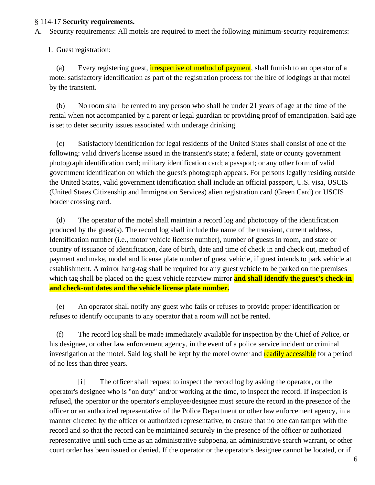#### § 114-17 **Security requirements.**

A. Security requirements: All motels are required to meet the following minimum-security requirements:

1. Guest registration:

(a) Every registering guest, **irrespective of method of payment**, shall furnish to an operator of a motel satisfactory identification as part of the registration process for the hire of lodgings at that motel by the transient.

(b) No room shall be rented to any person who shall be under 21 years of age at the time of the rental when not accompanied by a parent or legal guardian or providing proof of emancipation. Said age is set to deter security issues associated with underage drinking.

(c) Satisfactory identification for legal residents of the United States shall consist of one of the following: valid driver's license issued in the transient's state; a federal, state or county government photograph identification card; military identification card; a passport; or any other form of valid government identification on which the guest's photograph appears. For persons legally residing outside the United States, valid government identification shall include an official passport, U.S. visa, USCIS (United States Citizenship and Immigration Services) alien registration card (Green Card) or USCIS border crossing card.

(d) The operator of the motel shall maintain a record log and photocopy of the identification produced by the guest(s). The record log shall include the name of the transient, current address, Identification number (i.e., motor vehicle license number), number of guests in room, and state or country of issuance of identification, date of birth, date and time of check in and check out, method of payment and make, model and license plate number of guest vehicle, if guest intends to park vehicle at establishment. A mirror hang-tag shall be required for any guest vehicle to be parked on the premises which tag shall be placed on the guest vehicle rearview mirror **and shall identify the guest's check-in and check-out dates and the vehicle license plate number.**

(e) An operator shall notify any guest who fails or refuses to provide proper identification or refuses to identify occupants to any operator that a room will not be rented.

(f) The record log shall be made immediately available for inspection by the Chief of Police, or his designee, or other law enforcement agency, in the event of a police service incident or criminal investigation at the motel. Said log shall be kept by the motel owner and readily accessible for a period of no less than three years.

[i] The officer shall request to inspect the record log by asking the operator, or the operator's designee who is "on duty" and/or working at the time, to inspect the record. If inspection is refused, the operator or the operator's employee/designee must secure the record in the presence of the officer or an authorized representative of the Police Department or other law enforcement agency, in a manner directed by the officer or authorized representative, to ensure that no one can tamper with the record and so that the record can be maintained securely in the presence of the officer or authorized representative until such time as an administrative subpoena, an administrative search warrant, or other court order has been issued or denied. If the operator or the operator's designee cannot be located, or if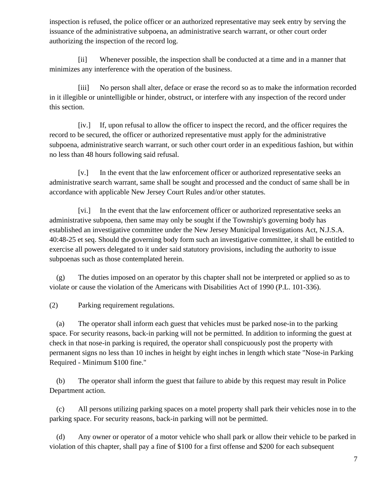inspection is refused, the police officer or an authorized representative may seek entry by serving the issuance of the administrative subpoena, an administrative search warrant, or other court order authorizing the inspection of the record log.

[ii] Whenever possible, the inspection shall be conducted at a time and in a manner that minimizes any interference with the operation of the business.

[iii] No person shall alter, deface or erase the record so as to make the information recorded in it illegible or unintelligible or hinder, obstruct, or interfere with any inspection of the record under this section.

[iv.] If, upon refusal to allow the officer to inspect the record, and the officer requires the record to be secured, the officer or authorized representative must apply for the administrative subpoena, administrative search warrant, or such other court order in an expeditious fashion, but within no less than 48 hours following said refusal.

[v.] In the event that the law enforcement officer or authorized representative seeks an administrative search warrant, same shall be sought and processed and the conduct of same shall be in accordance with applicable New Jersey Court Rules and/or other statutes.

[vi.] In the event that the law enforcement officer or authorized representative seeks an administrative subpoena, then same may only be sought if the Township's governing body has established an investigative committee under the New Jersey Municipal Investigations Act, N.J.S.A. 40:48-25 et seq. Should the governing body form such an investigative committee, it shall be entitled to exercise all powers delegated to it under said statutory provisions, including the authority to issue subpoenas such as those contemplated herein.

(g) The duties imposed on an operator by this chapter shall not be interpreted or applied so as to violate or cause the violation of the Americans with Disabilities Act of 1990 (P.L. 101-336).

(2) Parking requirement regulations.

(a) The operator shall inform each guest that vehicles must be parked nose-in to the parking space. For security reasons, back-in parking will not be permitted. In addition to informing the guest at check in that nose-in parking is required, the operator shall conspicuously post the property with permanent signs no less than 10 inches in height by eight inches in length which state "Nose-in Parking Required - Minimum \$100 fine."

(b) The operator shall inform the guest that failure to abide by this request may result in Police Department action.

(c) All persons utilizing parking spaces on a motel property shall park their vehicles nose in to the parking space. For security reasons, back-in parking will not be permitted.

(d) Any owner or operator of a motor vehicle who shall park or allow their vehicle to be parked in violation of this chapter, shall pay a fine of \$100 for a first offense and \$200 for each subsequent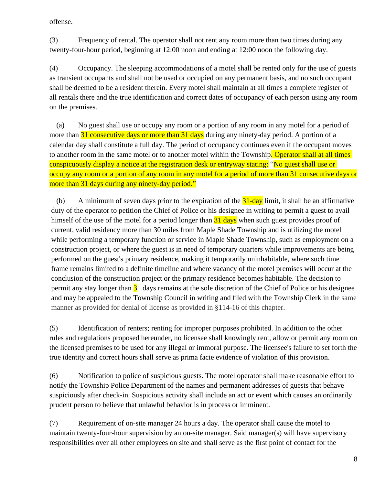offense.

(3) Frequency of rental. The operator shall not rent any room more than two times during any twenty-four-hour period, beginning at 12:00 noon and ending at 12:00 noon the following day.

(4) Occupancy. The sleeping accommodations of a motel shall be rented only for the use of guests as transient occupants and shall not be used or occupied on any permanent basis, and no such occupant shall be deemed to be a resident therein. Every motel shall maintain at all times a complete register of all rentals there and the true identification and correct dates of occupancy of each person using any room on the premises.

(a) No guest shall use or occupy any room or a portion of any room in any motel for a period of more than 31 consecutive days or more than 31 days during any ninety-day period. A portion of a calendar day shall constitute a full day. The period of occupancy continues even if the occupant moves to another room in the same motel or to another motel within the Township. Operator shall at all times conspicuously display a notice at the registration desk or entryway stating: "No guest shall use or occupy any room or a portion of any room in any motel for a period of more than 31 consecutive days or more than 31 days during any ninety-day period."

(b) A minimum of seven days prior to the expiration of the  $\frac{31 \text{-day}}{1 \text{day}}$  limit, it shall be an affirmative duty of the operator to petition the Chief of Police or his designee in writing to permit a guest to avail himself of the use of the motel for a period longer than  $\frac{31 \text{ days}}{1 \text{ days}}$  when such guest provides proof of current, valid residency more than 30 miles from Maple Shade Township and is utilizing the motel while performing a temporary function or service in Maple Shade Township, such as employment on a construction project, or where the guest is in need of temporary quarters while improvements are being performed on the guest's primary residence, making it temporarily uninhabitable, where such time frame remains limited to a definite timeline and where vacancy of the motel premises will occur at the conclusion of the construction project or the primary residence becomes habitable. The decision to permit any stay longer than  $31$  days remains at the sole discretion of the Chief of Police or his designee and may be appealed to the Township Council in writing and filed with the Township Clerk in the same manner as provided for denial of license as provided in §114-16 of this chapter.

(5) Identification of renters; renting for improper purposes prohibited. In addition to the other rules and regulations proposed hereunder, no licensee shall knowingly rent, allow or permit any room on the licensed premises to be used for any illegal or immoral purpose. The licensee's failure to set forth the true identity and correct hours shall serve as prima facie evidence of violation of this provision.

(6) Notification to police of suspicious guests. The motel operator shall make reasonable effort to notify the Township Police Department of the names and permanent addresses of guests that behave suspiciously after check-in. Suspicious activity shall include an act or event which causes an ordinarily prudent person to believe that unlawful behavior is in process or imminent.

(7) Requirement of on-site manager 24 hours a day. The operator shall cause the motel to maintain twenty-four-hour supervision by an on-site manager. Said manager(s) will have supervisory responsibilities over all other employees on site and shall serve as the first point of contact for the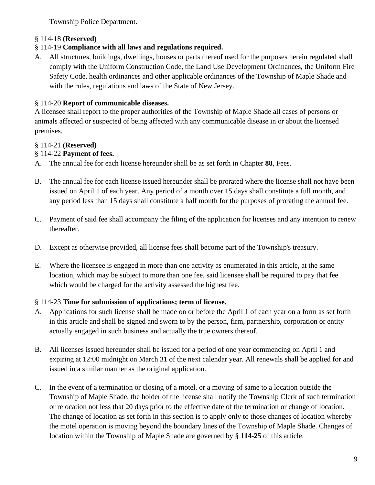Township Police Department.

# § 114-18 **(Reserved)**

# § 114-19 **Compliance with all laws and regulations required.**

A. All structures, buildings, dwellings, houses or parts thereof used for the purposes herein regulated shall comply with the Uniform Construction Code, the Land Use Development Ordinances, the Uniform Fire Safety Code, health ordinances and other applicable ordinances of the Township of Maple Shade and with the rules, regulations and laws of the State of New Jersey.

# § 114-20 **Report of communicable diseases.**

A licensee shall report to the proper authorities of the Township of Maple Shade all cases of persons or animals affected or suspected of being affected with any communicable disease in or about the licensed premises.

# § 114-21 **(Reserved)**

# § 114-22 **Payment of fees.**

- A. The annual fee for each license hereunder shall be as set forth in Chapter **88**, Fees.
- B. The annual fee for each license issued hereunder shall be prorated where the license shall not have been issued on April 1 of each year. Any period of a month over 15 days shall constitute a full month, and any period less than 15 days shall constitute a half month for the purposes of prorating the annual fee.
- C. Payment of said fee shall accompany the filing of the application for licenses and any intention to renew thereafter.
- D. Except as otherwise provided, all license fees shall become part of the Township's treasury.
- E. Where the licensee is engaged in more than one activity as enumerated in this article, at the same location, which may be subject to more than one fee, said licensee shall be required to pay that fee which would be charged for the activity assessed the highest fee.

#### § 114-23 **Time for submission of applications; term of license.**

- A. Applications for such license shall be made on or before the April 1 of each year on a form as set forth in this article and shall be signed and sworn to by the person, firm, partnership, corporation or entity actually engaged in such business and actually the true owners thereof.
- B. All licenses issued hereunder shall be issued for a period of one year commencing on April 1 and expiring at 12:00 midnight on March 31 of the next calendar year. All renewals shall be applied for and issued in a similar manner as the original application.
- C. In the event of a termination or closing of a motel, or a moving of same to a location outside the Township of Maple Shade, the holder of the license shall notify the Township Clerk of such termination or relocation not less that 20 days prior to the effective date of the termination or change of location. The change of location as set forth in this section is to apply only to those changes of location whereby the motel operation is moving beyond the boundary lines of the Township of Maple Shade. Changes of location within the Township of Maple Shade are governed by § **114-25** of this article.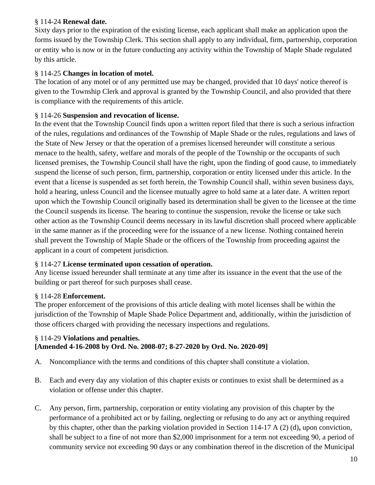# § 114-24 **Renewal date.**

Sixty days prior to the expiration of the existing license, each applicant shall make an application upon the forms issued by the Township Clerk. This section shall apply to any individual, firm, partnership, corporation or entity who is now or in the future conducting any activity within the Township of Maple Shade regulated by this article.

#### § 114-25 **Changes in location of motel.**

The location of any motel or of any permitted use may be changed, provided that 10 days' notice thereof is given to the Township Clerk and approval is granted by the Township Council, and also provided that there is compliance with the requirements of this article.

#### § 114-26 **Suspension and revocation of license.**

In the event that the Township Council finds upon a written report filed that there is such a serious infraction of the rules, regulations and ordinances of the Township of Maple Shade or the rules, regulations and laws of the State of New Jersey or that the operation of a premises licensed hereunder will constitute a serious menace to the health, safety, welfare and morals of the people of the Township or the occupants of such licensed premises, the Township Council shall have the right, upon the finding of good cause, to immediately suspend the license of such person, firm, partnership, corporation or entity licensed under this article. In the event that a license is suspended as set forth herein, the Township Council shall, within seven business days, hold a hearing, unless Council and the licensee mutually agree to hold same at a later date. A written report upon which the Township Council originally based its determination shall be given to the licensee at the time the Council suspends its license. The hearing to continue the suspension, revoke the license or take such other action as the Township Council deems necessary in its lawful discretion shall proceed where applicable in the same manner as if the proceeding were for the issuance of a new license. Nothing contained herein shall prevent the Township of Maple Shade or the officers of the Township from proceeding against the applicant in a court of competent jurisdiction.

#### § 114-27 **License terminated upon cessation of operation.**

Any license issued hereunder shall terminate at any time after its issuance in the event that the use of the building or part thereof for such purposes shall cease.

#### § 114-28 **Enforcement.**

The proper enforcement of the provisions of this article dealing with motel licenses shall be within the jurisdiction of the Township of Maple Shade Police Department and, additionally, within the jurisdiction of those officers charged with providing the necessary inspections and regulations.

#### § 114-29 **Violations and penalties. [Amended 4-16-2008 by Ord. No. 2008-07; 8-27-2020 by Ord. No. 2020-09]**

- A. Noncompliance with the terms and conditions of this chapter shall constitute a violation.
- B. Each and every day any violation of this chapter exists or continues to exist shall be determined as a violation or offense under this chapter.
- C. Any person, firm, partnership, corporation or entity violating any provision of this chapter by the performance of a prohibited act or by failing, neglecting or refusing to do any act or anything required by this chapter, other than the parking violation provided in Section 114-17 A (2) (d)**,** upon conviction, shall be subject to a fine of not more than \$2,000 imprisonment for a term not exceeding 90, a period of community service not exceeding 90 days or any combination thereof in the discretion of the Municipal